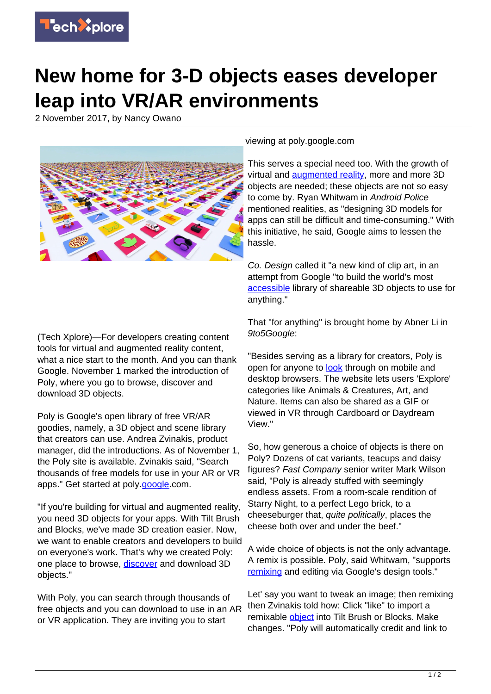

## **New home for 3-D objects eases developer leap into VR/AR environments**

2 November 2017, by Nancy Owano



(Tech Xplore)—For developers creating content tools for virtual and augmented reality content, what a nice start to the month. And you can thank Google. November 1 marked the introduction of Poly, where you go to browse, discover and download 3D objects.

Poly is Google's open library of free VR/AR goodies, namely, a 3D object and scene library that creators can use. Andrea Zvinakis, product manager, did the introductions. As of November 1, the Poly site is available. Zvinakis said, "Search thousands of free models for use in your AR or VR apps." Get started at poly[.google](https://techxplore.com/tags/google/).com.

"If you're building for virtual and augmented reality, you need 3D objects for your apps. With Tilt Brush and Blocks, we've made 3D creation easier. Now, we want to enable creators and developers to build on everyone's work. That's why we created Poly: one place to browse, [discover](https://blog.google/products/google-vr/poly-browse-discover-and-download-3d-objects-and-scenes/) and download 3D objects."

With Poly, you can search through thousands of free objects and you can download to use in an AR or VR application. They are inviting you to start

viewing at poly.google.com

This serves a special need too. With the growth of virtual and **augmented reality**, more and more 3D objects are needed; these objects are not so easy to come by. Ryan Whitwam in Android Police mentioned realities, as "designing 3D models for apps can still be difficult and time-consuming." With this initiative, he said, Google aims to lessen the hassle.

Co. Design called it "a new kind of clip art, in an attempt from Google "to build the world's most [accessible](https://www.fastcodesign.com/90148702/google-is-building-a-new-kind-of-clipart) library of shareable 3D objects to use for anything."

That "for anything" is brought home by Abner Li in 9to5Google:

"Besides serving as a library for creators, Poly is open for anyone to [look](https://9to5google.com/2017/11/01/google-poly-vr-ar-assets-library/) through on mobile and desktop browsers. The website lets users 'Explore' categories like Animals & Creatures, Art, and Nature. Items can also be shared as a GIF or viewed in VR through Cardboard or Daydream View."

So, how generous a choice of objects is there on Poly? Dozens of cat variants, teacups and daisy figures? Fast Company senior writer Mark Wilson said, "Poly is already stuffed with seemingly endless assets. From a room-scale rendition of Starry Night, to a perfect Lego brick, to a cheeseburger that, quite politically, places the cheese both over and under the beef."

A wide choice of objects is not the only advantage. A remix is possible. Poly, said Whitwam, "supports [remixing](http://www.androidpolice.com/2017/11/01/google-launches-poly-database-3d-objects-app-developers/) and editing via Google's design tools."

Let' say you want to tweak an image; then remixing then Zvinakis told how: Click "like" to import a remixable [object](https://techxplore.com/tags/object/) into Tilt Brush or Blocks. Make changes. "Poly will automatically credit and link to